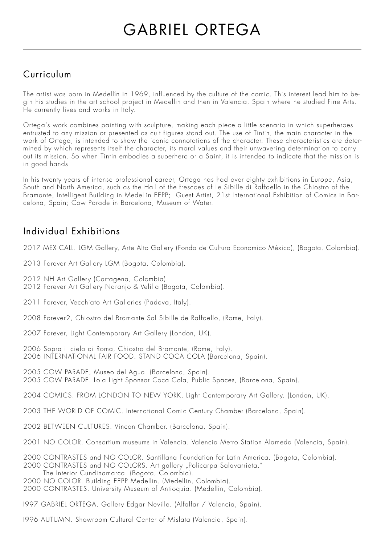## Curriculum

The artist was born in Medellín in 1969, influenced by the culture of the comic. This interest lead him to begin his studies in the art school project in Medellin and then in Valencia, Spain where he studied Fine Arts. He currently lives and works in Italy.

Ortega's work combines painting with sculpture, making each piece a little scenario in which superheroes entrusted to any mission or presented as cult figures stand out. The use of Tintin, the main character in the work of Ortega, is intended to show the iconic connotations of the character. These characteristics are determined by which represents itself the character, its moral values and their unwavering determination to carry out its mission. So when Tintin embodies a superhero or a Saint, it is intended to indicate that the mission is in good hands.

In his twenty years of intense professional career, Ortega has had over eighty exhibitions in Europe, Asia, South and North America, such as the Hall of the frescoes of Le Sibille di Raffaello in the Chiostro of the Bramante, Intelligent Building in Medellín EEPP; Guest Artist, 21st International Exhibition of Comics in Barcelona, Spain; Cow Parade in Barcelona, Museum of Water.

## Individual Exhibitions

2017 MEX CALL. LGM Gallery, Arte Alto Gallery (Fondo de Cultura Economico México), (Bogota, Colombia).

- 2013 Forever Art Gallery LGM (Bogota, Colombia).
- 2012 NH Art Gallery (Cartagena, Colombia).
- 2012 Forever Art Gallery Naranjo & Velilla (Bogota, Colombia).
- 2011 Forever, Vecchiato Art Galleries (Padova, Italy).
- 2008 Forever2, Chiostro del Bramante Sal Sibille de Raffaello, (Rome, Italy).
- 2007 Forever, Light Contemporary Art Gallery (London, UK).

2006 Sopra il cielo di Roma, Chiostro del Bramante, (Rome, Italy). 2006 INTERNATIONAL FAIR FOOD. STAND COCA COLA (Barcelona, Spain).

2005 COW PARADE, Museo del Agua. (Barcelona, Spain). 2005 COW PARADE. Lola Light Sponsor Coca Cola, Public Spaces, (Barcelona, Spain).

2004 COMICS. FROM LONDON TO NEW YORK. Light Contemporary Art Gallery. (London, UK).

- 2003 THE WORLD OF COMIC. International Comic Century Chamber (Barcelona, Spain).
- 2002 BETWEEN CULTURES. Vincon Chamber. (Barcelona, Spain).
- 2001 NO COLOR. Consortium museums in Valencia. Valencia Metro Station Alameda (Valencia, Spain).
- 2000 CONTRASTES and NO COLOR. Santillana Foundation for Latin America. (Bogota, Colombia).
- 2000 CONTRASTES and NO COLORS. Art gallery "Policarpa Salavarrieta." The Interior Cundinamarca. (Bogota, Colombia).
- 2000 NO COLOR. Building EEPP Medellin. (Medellin, Colombia).
- 2000 CONTRASTES. University Museum of Antioquia. (Medellin, Colombia).
- I997 GABRIEL ORTEGA. Gallery Edgar Neville. (Alfalfar / Valencia, Spain).

I996 AUTUMN. Showroom Cultural Center of Mislata (Valencia, Spain).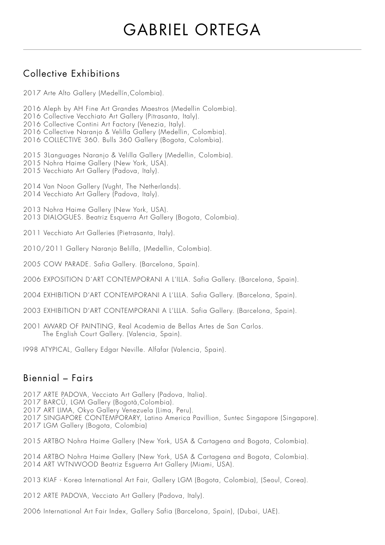## Collective Exhibitions

- 2017 Arte Alto Gallery (Medellín,Colombia).
- 2016 Aleph by AH Fine Art Grandes Maestros (Medellin Colombia).
- 2016 Collective Vecchiato Art Gallery (Pitrasanta, Italy).
- 2016 Collective Contini Art Factory (Venezia, Italy).
- 2016 Collective Naranjo & Velilla Gallery (Medellin, Colombia).
- 2016 COLLECTIVE 360. Bulls 360 Gallery (Bogota, Colombia).

2015 3Languages Naranjo & Velilla Gallery (Medellin, Colombia).

- 2015 Nohra Haime Gallery (New York, USA).
- 2015 Vecchiato Art Gallery (Padova, Italy).
- 2014 Van Noon Gallery (Vught, The Netherlands).
- 2014 Vecchiato Art Gallery (Padova, Italy).
- 2013 Nohra Haime Gallery (New York, USA). 2013 DIALOGUES. Beatriz Esquerra Art Gallery (Bogota, Colombia).
- 2011 Vecchiato Art Galleries (Pietrasanta, Italy).
- 2010/2011 Gallery Naranjo Belilla, (Medellin, Colombia).
- 2005 COW PARADE. Safia Gallery. (Barcelona, Spain).
- 2006 EXPOSITION D´ART CONTEMPORANI A L'ILLA. Safia Gallery. (Barcelona, Spain).
- 2004 EXHIBITION D'ART CONTEMPORANI A L'LLLA. Safia Gallery. (Barcelona, Spain).
- 2003 EXHIBITION D'ART CONTEMPORANI A L'LLLA. Safia Gallery. (Barcelona, Spain).
- 2001 AWARD OF PAINTING, Real Academia de Bellas Artes de San Carlos. The English Court Gallery. (Valencia, Spain).
- I998 ATYPICAL, Gallery Edgar Neville. Alfafar (Valencia, Spain).

#### Biennial – Fairs

- 2017 ARTE PADOVA, Vecciato Art Gallery (Padova, Italia).
- 2017 BARCÚ, LGM Gallery (Bogotà,Colombia).
- 2017 ART LIMA, Okyo Gallery Venezuela (Lima, Peru).
- 2017 SINGAPORE CONTEMPORARY, Latino America Pavillion, Suntec Singapore (Singapore).
- 2017 LGM Gallery (Bogota, Colombia)
- 2015 ARTBO Nohra Haime Gallery (New York, USA & Cartagena and Bogota, Colombia).
- 2014 ARTBO Nohra Haime Gallery (New York, USA & Cartagena and Bogota, Colombia). 2014 ART WTNWOOD Beatriz Esguerra Art Gallery (Miami, USA).
- 2013 KIAF Korea International Art Fair, Gallery LGM (Bogota, Colombia), (Seoul, Corea).
- 2012 ARTE PADOVA, Vecciato Art Gallery (Padova, Italy).
- 2006 International Art Fair Index, Gallery Safia (Barcelona, Spain), (Dubai, UAE).